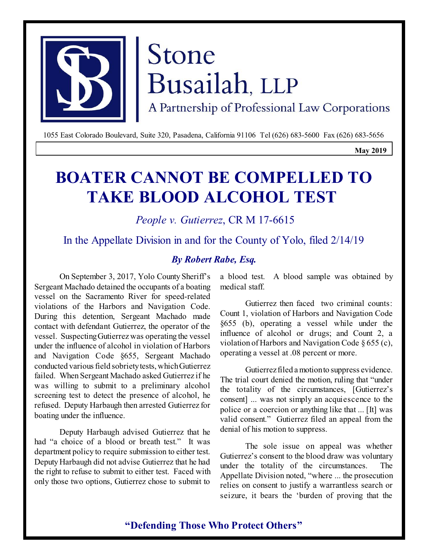

# Stone Busailah, LLP

A Partnership of Professional Law Corporations

1055 East Colorado Boulevard, Suite 320, Pasadena, California 91106 Tel (626) 683-5600 Fax (626) 683-5656

**May 2019**

# **BOATER CANNOT BE COMPELLED TO TAKE BLOOD ALCOHOL TEST**

## *People v. Gutierrez*, CR M 17-6615

In the Appellate Division in and for the County of Yolo, filed 2/14/19

### *By Robert Rabe, Esq.*

On September 3, 2017, Yolo County Sheriff's Sergeant Machado detained the occupants of a boating vessel on the Sacramento River for speed-related violations of the Harbors and Navigation Code. During this detention, Sergeant Machado made contact with defendant Gutierrez, the operator of the vessel. SuspectingGutierrez was operating the vessel under the influence of alcohol in violation of Harbors and Navigation Code §655, Sergeant Machado conducted variousfield sobrietytests, whichGutierrez failed. When Sergeant Machado asked Gutierrez if he was willing to submit to a preliminary alcohol screening test to detect the presence of alcohol, he refused. Deputy Harbaugh then arrested Gutierrez for boating under the influence.

Deputy Harbaugh advised Gutierrez that he had "a choice of a blood or breath test." It was department policy to require submission to either test. Deputy Harbaugh did not advise Gutierrez that he had the right to refuse to submit to either test. Faced with only those two options, Gutierrez chose to submit to

a blood test. A blood sample was obtained by medical staff.

Gutierrez then faced two criminal counts: Count 1, violation of Harbors and Navigation Code §655 (b), operating a vessel while under the influence of alcohol or drugs; and Count 2, a violation of Harbors and Navigation Code § 655 (c), operating a vessel at .08 percent or more.

Gutierrez filed a motion to suppress evidence. The trial court denied the motion, ruling that "under the totality of the circumstances, [Gutierrez's consent] ... was not simply an acquiescence to the police or a coercion or anything like that ... [It] was valid consent." Gutierrez filed an appeal from the denial of his motion to suppress.

The sole issue on appeal was whether Gutierrez's consent to the blood draw was voluntary under the totality of the circumstances. The Appellate Division noted, "where ... the prosecution relies on consent to justify a warrantless search or seizure, it bears the 'burden of proving that the

#### **"Defending Those Who Protect Others"**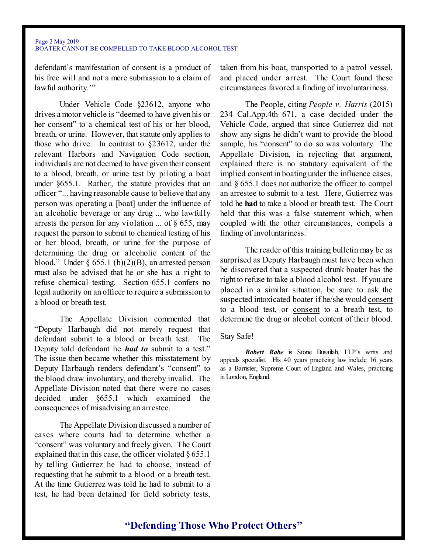#### Page 2 May 2019 BOATER CANNOT BE COMPELLED TO TAKE BLOOD ALCOHOL TEST

defendant's manifestation of consent is a product of his free will and not a mere submission to a claim of lawful authority."

Under Vehicle Code §23612, anyone who drives a motor vehicle is "deemed to have given his or her consent" to a chemical test of his or her blood. breath, or urine. However, that statute only applies to those who drive. In contrast to §23612, under the relevant Harbors and Navigation Code section, individuals are not deemed to have given their consent to a blood, breath, or urine test by piloting a boat under §655.1. Rather, the statute provides that an officer "... having reasonable cause to believe that any person was operating a [boat] under the influence of an alcoholic beverage or any drug ... who lawfully arrests the person for any violation  $\ldots$  of § 655, may request the person to submit to chemical testing of his or her blood, breath, or urine for the purpose of determining the drug or alcoholic content of the blood." Under  $\S 655.1$  (b)(2)(B), an arrested person must also be advised that he or she has a right to refuse chemical testing. Section 655.1 confers no legal authority on an officer to require a submission to a blood or breath test.

The Appellate Division commented that "Deputy Harbaugh did not merely request that defendant submit to a blood or breath test. The Deputy told defendant he *had to* submit to a test." The issue then became whether this misstatement by Deputy Harbaugh renders defendant's "consent" to the blood draw involuntary, and thereby invalid. The Appellate Division noted that there were no cases decided under §655.1 which examined the consequences of misadvising an arrestee.

The Appellate Division discussed a number of cases where courts had to determine whether a "consent" was voluntary and freely given. The Court explained that in this case, the officer violated  $\S 655.1$ by telling Gutierrez he had to choose, instead of requesting that he submit to a blood or a breath test. At the time Gutierrez was told he had to submit to a test, he had been detained for field sobriety tests,

taken from his boat, transported to a patrol vessel, and placed under arrest. The Court found these circumstances favored a finding of involuntariness.

The People, citing *People v. Harris* (2015) 234 Cal.App.4th 671, a case decided under the Vehicle Code, argued that since Gutierrez did not show any signs he didn't want to provide the blood sample, his "consent" to do so was voluntary. The Appellate Division, in rejecting that argument, explained there is no statutory equivalent of the implied consent in boating under the influence cases, and § 655.1 does not authorize the officer to compel an arrestee to submit to a test. Here, Gutierrez was told he **had** to take a blood or breath test. The Court held that this was a false statement which, when coupled with the other circumstances, compels a finding of involuntariness.

The reader of this training bulletin may be as surprised as Deputy Harbaugh must have been when he discovered that a suspected drunk boater has the right to refuse to take a blood alcohol test. If you are placed in a similar situation, be sure to ask the suspected intoxicated boater if he/she would consent to a blood test, or consent to a breath test, to determine the drug or alcohol content of their blood.

#### Stay Safe!

*Robert Rabe* is Stone Busailah, LLP's writs and appeals specialist. His 40 years practicing law include 16 years as a Barrister, Supreme Court of England and Wales, practicing in London, England.

#### **"Defending Those Who Protect Others"**